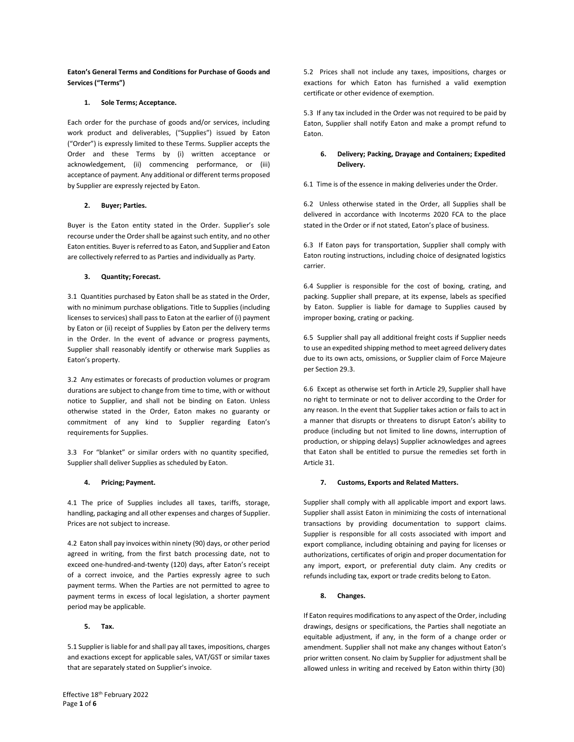### **Eaton's General Terms and Conditions for Purchase of Goods and Services ("Terms")**

### **1. Sole Terms; Acceptance.**

Each order for the purchase of goods and/or services, including work product and deliverables, ("Supplies") issued by Eaton ("Order") is expressly limited to these Terms. Supplier accepts the Order and these Terms by (i) written acceptance or acknowledgement, (ii) commencing performance, or (iii) acceptance of payment. Any additional or different terms proposed by Supplier are expressly rejected by Eaton.

### **2. Buyer; Parties.**

Buyer is the Eaton entity stated in the Order. Supplier's sole recourse under the Order shall be against such entity, and no other Eaton entities. Buyer is referred to as Eaton, and Supplier and Eaton are collectively referred to as Parties and individually as Party.

### **3. Quantity; Forecast.**

3.1 Quantities purchased by Eaton shall be as stated in the Order, with no minimum purchase obligations. Title to Supplies (including licenses to services) shall pass to Eaton at the earlier of (i) payment by Eaton or (ii) receipt of Supplies by Eaton per the delivery terms in the Order. In the event of advance or progress payments, Supplier shall reasonably identify or otherwise mark Supplies as Eaton's property.

3.2 Any estimates or forecasts of production volumes or program durations are subject to change from time to time, with or without notice to Supplier, and shall not be binding on Eaton. Unless otherwise stated in the Order, Eaton makes no guaranty or commitment of any kind to Supplier regarding Eaton's requirements for Supplies.

3.3 For "blanket" or similar orders with no quantity specified, Supplier shall deliver Supplies as scheduled by Eaton.

#### **4. Pricing; Payment.**

4.1 The price of Supplies includes all taxes, tariffs, storage, handling, packaging and all other expenses and charges of Supplier. Prices are not subject to increase.

4.2 Eaton shall pay invoices within ninety (90) days, or other period agreed in writing, from the first batch processing date, not to exceed one-hundred-and-twenty (120) days, after Eaton's receipt of a correct invoice, and the Parties expressly agree to such payment terms. When the Parties are not permitted to agree to payment terms in excess of local legislation, a shorter payment period may be applicable.

#### **5. Tax.**

5.1 Supplier isliable for and shall pay all taxes, impositions, charges and exactions except for applicable sales, VAT/GST or similar taxes that are separately stated on Supplier's invoice.

5.2 Prices shall not include any taxes, impositions, charges or exactions for which Eaton has furnished a valid exemption certificate or other evidence of exemption.

5.3 If any tax included in the Order was not required to be paid by Eaton, Supplier shall notify Eaton and make a prompt refund to Eaton.

### **6. Delivery; Packing, Drayage and Containers; Expedited Delivery.**

6.1 Time is of the essence in making deliveries under the Order.

6.2 Unless otherwise stated in the Order, all Supplies shall be delivered in accordance with Incoterms 2020 FCA to the place stated in the Order or if not stated, Eaton's place of business.

6.3 If Eaton pays for transportation, Supplier shall comply with Eaton routing instructions, including choice of designated logistics carrier.

6.4 Supplier is responsible for the cost of boxing, crating, and packing. Supplier shall prepare, at its expense, labels as specified by Eaton. Supplier is liable for damage to Supplies caused by improper boxing, crating or packing.

6.5 Supplier shall pay all additional freight costs if Supplier needs to use an expedited shipping method to meet agreed delivery dates due to its own acts, omissions, or Supplier claim of Force Majeure per Section 29.3.

6.6 Except as otherwise set forth in Article 29, Supplier shall have no right to terminate or not to deliver according to the Order for any reason. In the event that Supplier takes action or fails to act in a manner that disrupts or threatens to disrupt Eaton's ability to produce (including but not limited to line downs, interruption of production, or shipping delays) Supplier acknowledges and agrees that Eaton shall be entitled to pursue the remedies set forth in Article 31.

#### **7. Customs, Exports and Related Matters.**

Supplier shall comply with all applicable import and export laws. Supplier shall assist Eaton in minimizing the costs of international transactions by providing documentation to support claims. Supplier is responsible for all costs associated with import and export compliance, including obtaining and paying for licenses or authorizations, certificates of origin and proper documentation for any import, export, or preferential duty claim. Any credits or refunds including tax, export or trade credits belong to Eaton.

#### **8. Changes.**

If Eaton requires modifications to any aspect of the Order, including drawings, designs or specifications, the Parties shall negotiate an equitable adjustment, if any, in the form of a change order or amendment. Supplier shall not make any changes without Eaton's prior written consent. No claim by Supplier for adjustment shall be allowed unless in writing and received by Eaton within thirty (30)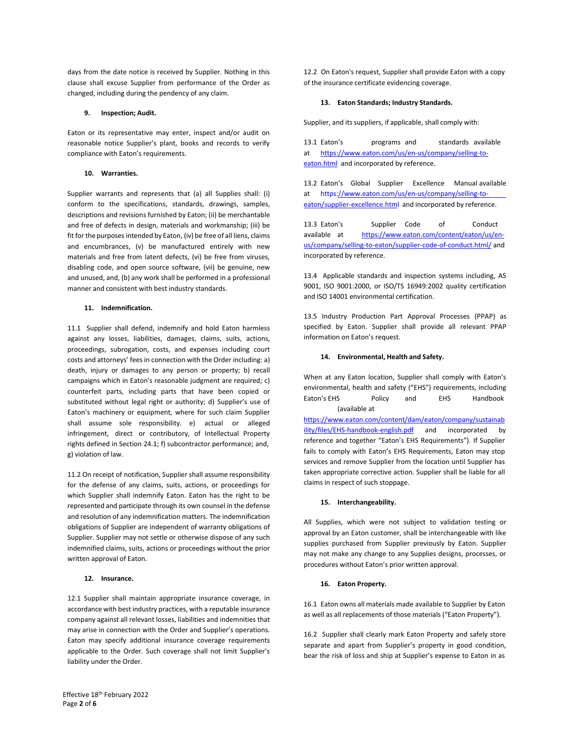days from the date notice is received by Supplier. Nothing in this clause shall excuse Supplier from performance of the Order as changed, including during the pendency of any claim.

### **9. Inspection; Audit.**

Eaton or its representative may enter, inspect and/or audit on reasonable notice Supplier's plant, books and records to verify compliance with Eaton's requirements.

#### **10. Warranties.**

Supplier warrants and represents that (a) all Supplies shall: (i) conform to the specifications, standards, drawings, samples, descriptions and revisions furnished by Eaton; (ii) be merchantable and free of defects in design, materials and workmanship; (iii) be fit for the purposes intended by Eaton, (iv) be free of all liens, claims and encumbrances, (v) be manufactured entirely with new materials and free from latent defects, (vi) be free from viruses, disabling code, and open source software, (vii) be genuine, new and unused, and, (b) any work shall be performed in a professional manner and consistent with best industry standards.

### **11. Indemnification.**

11.1 Supplier shall defend, indemnify and hold Eaton harmless against any losses, liabilities, damages, claims, suits, actions, proceedings, subrogation, costs, and expenses including court costs and attorneys' feesin connection with the Order including: a) death, injury or damages to any person or property; b) recall campaigns which in Eaton's reasonable judgment are required; c) counterfeit parts, including parts that have been copied or substituted without legal right or authority; d) Supplier's use of Eaton's machinery or equipment, where for such claim Supplier shall assume sole responsibility. e) actual or alleged infringement, direct or contributory, of Intellectual Property rights defined in Section 24.1; f) subcontractor performance; and, g) violation of law.

11.2 On receipt of notification, Supplier shall assume responsibility for the defense of any claims, suits, actions, or proceedings for which Supplier shall indemnify Eaton. Eaton has the right to be represented and participate through its own counsel in the defense and resolution of any indemnification matters. The indemnification obligations of Supplier are independent of warranty obligations of Supplier. Supplier may not settle or otherwise dispose of any such indemnified claims, suits, actions or proceedings without the prior written approval of Eaton.

### **12. Insurance.**

12.1 Supplier shall maintain appropriate insurance coverage, in accordance with best industry practices, with a reputable insurance company against all relevant losses, liabilities and indemnities that may arise in connection with the Order and Supplier's operations. Eaton may specify additional insurance coverage requirements applicable to the Order. Such coverage shall not limit Supplier's liability under the Order.

12.2 On Eaton's request, Supplier shall provide Eaton with a copy of the insurance certificate evidencing coverage.

#### **13. Eaton Standards; Industry Standards.**

Supplier, and its suppliers, if applicable, shall comply with:

13.1 Eaton's programs and standards available at [https://www.eaton.com/us/en-us/company/selling-to](https://www.eaton.com/us/en-us/company/selling-to-eaton.html)[eaton.html](https://www.eaton.com/us/en-us/company/selling-to-eaton.html) and incorporated by reference.

13.2 Eaton's Global Supplier Excellence Manual available at [https://www.eaton.com/us/en-us/company/selling-to](https://www.eaton.com/us/en-us/company/selling-to-eaton/supplier-excellence.html)[eaton/supplier-excellence.html](https://www.eaton.com/us/en-us/company/selling-to-eaton/supplier-excellence.html) and incorporated by reference.

13.3 Eaton's Supplier Code of Conduct available at [https://www.eaton.com/content/eaton/us/en](https://www.eaton.com/content/eaton/us/en-us/company/selling-to-eaton/supplier-code-of-conduct.html/)[us/company/selling-to-eaton/supplier-code-of-conduct.html/](https://www.eaton.com/content/eaton/us/en-us/company/selling-to-eaton/supplier-code-of-conduct.html/) and incorporated by reference.

13.4 Applicable standards and inspection systems including, AS 9001, ISO 9001:2000, or ISO/TS 16949:2002 quality certification and ISO 14001 environmental certification.

13.5 Industry Production Part Approval Processes (PPAP) as specified by Eaton. Supplier shall provide all relevant PPAP information on Eaton's request.

### **14. Environmental, Health and Safety.**

When at any Eaton location, Supplier shall comply with Eaton's environmental, health and safety ("EHS") requirements, including Eaton's EHS Policy and EHS Handbook (available at

[https://www.eaton.com/content/dam/eaton/company/sustainab](https://www.eaton.com/content/dam/eaton/company/sustainability/files/EHS-handbook-english.pdf) [ility/files/EHS-handbook-english.pdf](https://www.eaton.com/content/dam/eaton/company/sustainability/files/EHS-handbook-english.pdf) and incorporated by reference and together "Eaton's EHS Requirements"). If Supplier fails to comply with Eaton's EHS Requirements, Eaton may stop services and remove Supplier from the location until Supplier has taken appropriate corrective action. Supplier shall be liable for all claims in respect of such stoppage.

### **15. Interchangeability.**

All Supplies, which were not subject to validation testing or approval by an Eaton customer, shall be interchangeable with like supplies purchased from Supplier previously by Eaton. Supplier may not make any change to any Supplies designs, processes, or procedures without Eaton's prior written approval.

### **16. Eaton Property.**

16.1 Eaton owns all materials made available to Supplier by Eaton as well as all replacements of those materials ("Eaton Property").

16.2 Supplier shall clearly mark Eaton Property and safely store separate and apart from Supplier's property in good condition, bear the risk of loss and ship at Supplier's expense to Eaton in as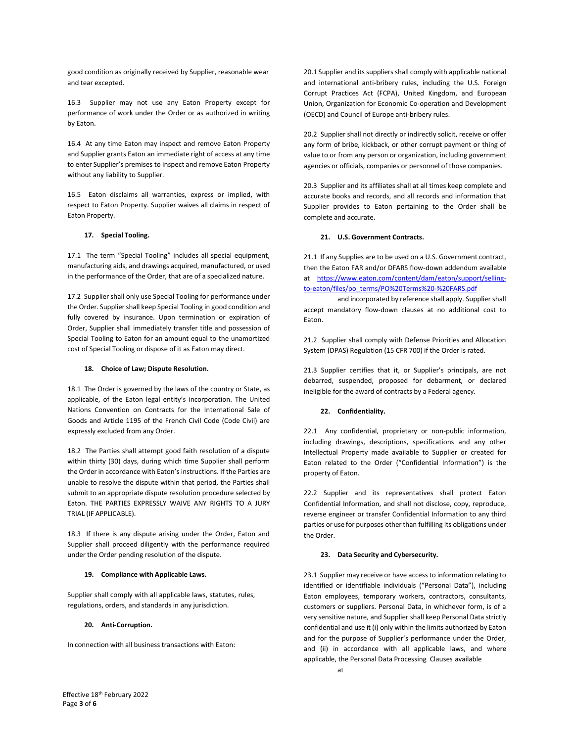good condition as originally received by Supplier, reasonable wear and tear excepted.

16.3 Supplier may not use any Eaton Property except for performance of work under the Order or as authorized in writing by Eaton.

16.4 At any time Eaton may inspect and remove Eaton Property and Supplier grants Eaton an immediate right of access at any time to enter Supplier's premises to inspect and remove Eaton Property without any liability to Supplier.

16.5 Eaton disclaims all warranties, express or implied, with respect to Eaton Property. Supplier waives all claims in respect of Eaton Property.

#### **17. Special Tooling.**

17.1 The term "Special Tooling" includes all special equipment, manufacturing aids, and drawings acquired, manufactured, or used in the performance of the Order, that are of a specialized nature.

17.2 Supplier shall only use Special Tooling for performance under the Order. Supplier shall keep Special Tooling in good condition and fully covered by insurance. Upon termination or expiration of Order, Supplier shall immediately transfer title and possession of Special Tooling to Eaton for an amount equal to the unamortized cost of Special Tooling or dispose of it as Eaton may direct.

#### **18. Choice of Law; Dispute Resolution.**

18.1 The Order is governed by the laws of the country or State, as applicable, of the Eaton legal entity's incorporation. The United Nations Convention on Contracts for the International Sale of Goods and Article 1195 of the French Civil Code (Code Civil) are expressly excluded from any Order.

18.2 The Parties shall attempt good faith resolution of a dispute within thirty (30) days, during which time Supplier shall perform the Order in accordance with Eaton's instructions. If the Parties are unable to resolve the dispute within that period, the Parties shall submit to an appropriate dispute resolution procedure selected by Eaton. THE PARTIES EXPRESSLY WAIVE ANY RIGHTS TO A JURY TRIAL (IF APPLICABLE).

18.3 If there is any dispute arising under the Order, Eaton and Supplier shall proceed diligently with the performance required under the Order pending resolution of the dispute.

#### **19. Compliance with Applicable Laws.**

Supplier shall comply with all applicable laws, statutes, rules, regulations, orders, and standards in any jurisdiction.

#### **20. Anti-Corruption.**

In connection with all business transactions with Eaton:

20.1 Supplier and its suppliers shall comply with applicable national and international anti-bribery rules, including the U.S. Foreign Corrupt Practices Act (FCPA), United Kingdom, and European Union, Organization for Economic Co-operation and Development (OECD) and Council of Europe anti-bribery rules.

20.2 Supplier shall not directly or indirectly solicit, receive or offer any form of bribe, kickback, or other corrupt payment or thing of value to or from any person or organization, including government agencies or officials, companies or personnel of those companies.

20.3 Supplier and its affiliates shall at all times keep complete and accurate books and records, and all records and information that Supplier provides to Eaton pertaining to the Order shall be complete and accurate.

#### **21. U.S. Government Contracts.**

21.1 If any Supplies are to be used on a U.S. Government contract, then the Eaton FAR and/or DFARS flow-down addendum available at [https://www.eaton.com/content/dam/eaton/support/selling](https://www.eaton.com/content/dam/eaton/support/selling-to-eaton/files/po_terms/PO%20Terms%20-%20FARS.pdf)[to-eaton/files/po\\_terms/PO%20Terms%20-%20FARS.pdf](https://www.eaton.com/content/dam/eaton/support/selling-to-eaton/files/po_terms/PO%20Terms%20-%20FARS.pdf)

and incorporated by reference shall apply. Supplier shall accept mandatory flow-down clauses at no additional cost to Eaton.

21.2 Supplier shall comply with Defense Priorities and Allocation System (DPAS) Regulation (15 CFR 700) if the Order is rated.

21.3 Supplier certifies that it, or Supplier's principals, are not debarred, suspended, proposed for debarment, or declared ineligible for the award of contracts by a Federal agency.

#### **22. Confidentiality.**

22.1 Any confidential, proprietary or non-public information, including drawings, descriptions, specifications and any other Intellectual Property made available to Supplier or created for Eaton related to the Order ("Confidential Information") is the property of Eaton.

22.2 Supplier and its representatives shall protect Eaton Confidential Information, and shall not disclose, copy, reproduce, reverse engineer or transfer Confidential Information to any third parties or use for purposes other than fulfilling its obligations under the Order.

### **23. Data Security and Cybersecurity.**

23.1 Supplier may receive or have accessto information relating to identified or identifiable individuals ("Personal Data"), including Eaton employees, temporary workers, contractors, consultants, customers or suppliers. Personal Data, in whichever form, is of a very sensitive nature, and Supplier shall keep Personal Data strictly confidential and use it (i) only within the limits authorized by Eaton and for the purpose of Supplier's performance under the Order, and (ii) in accordance with all applicable laws, and where applicable, the Personal Data Processing Clauses available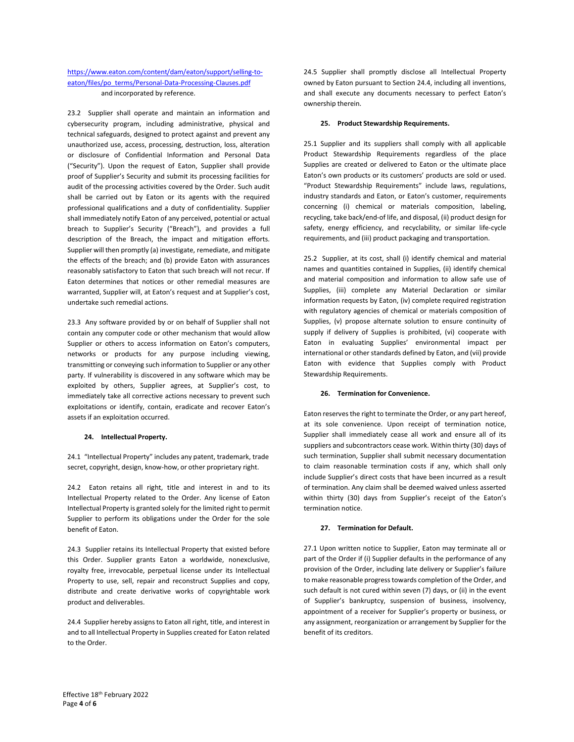# [https://www.eaton.com/content/dam/eaton/support/selling-to](https://www.eaton.com/content/dam/eaton/support/selling-to-eaton/files/po_terms/Personal-Data-Processing-Clauses.pdf)[eaton/files/po\\_terms/Personal-Data-Processing-Clauses.pdf](https://www.eaton.com/content/dam/eaton/support/selling-to-eaton/files/po_terms/Personal-Data-Processing-Clauses.pdf) and incorporated by reference.

23.2 Supplier shall operate and maintain an information and cybersecurity program, including administrative, physical and technical safeguards, designed to protect against and prevent any unauthorized use, access, processing, destruction, loss, alteration or disclosure of Confidential Information and Personal Data ("Security"). Upon the request of Eaton, Supplier shall provide proof of Supplier's Security and submit its processing facilities for audit of the processing activities covered by the Order. Such audit shall be carried out by Eaton or its agents with the required professional qualifications and a duty of confidentiality. Supplier shall immediately notify Eaton of any perceived, potential or actual breach to Supplier's Security ("Breach"), and provides a full description of the Breach, the impact and mitigation efforts. Supplier will then promptly (a) investigate, remediate, and mitigate the effects of the breach; and (b) provide Eaton with assurances reasonably satisfactory to Eaton that such breach will not recur. If Eaton determines that notices or other remedial measures are warranted, Supplier will, at Eaton's request and at Supplier's cost, undertake such remedial actions.

23.3 Any software provided by or on behalf of Supplier shall not contain any computer code or other mechanism that would allow Supplier or others to access information on Eaton's computers, networks or products for any purpose including viewing, transmitting or conveying such information to Supplier or any other party. If vulnerability is discovered in any software which may be exploited by others, Supplier agrees, at Supplier's cost, to immediately take all corrective actions necessary to prevent such exploitations or identify, contain, eradicate and recover Eaton's assets if an exploitation occurred.

#### **24. Intellectual Property.**

24.1 "Intellectual Property" includes any patent, trademark, trade secret, copyright, design, know-how, or other proprietary right.

24.2 Eaton retains all right, title and interest in and to its Intellectual Property related to the Order. Any license of Eaton Intellectual Property is granted solely for the limited right to permit Supplier to perform its obligations under the Order for the sole benefit of Eaton.

24.3 Supplier retains its Intellectual Property that existed before this Order. Supplier grants Eaton a worldwide, nonexclusive, royalty free, irrevocable, perpetual license under its Intellectual Property to use, sell, repair and reconstruct Supplies and copy, distribute and create derivative works of copyrightable work product and deliverables.

24.4 Supplier hereby assigns to Eaton all right, title, and interest in and to all Intellectual Property in Supplies created for Eaton related to the Order.

24.5 Supplier shall promptly disclose all Intellectual Property owned by Eaton pursuant to Section 24.4, including all inventions, and shall execute any documents necessary to perfect Eaton's ownership therein.

### **25. Product Stewardship Requirements.**

25.1 Supplier and its suppliers shall comply with all applicable Product Stewardship Requirements regardless of the place Supplies are created or delivered to Eaton or the ultimate place Eaton's own products or its customers' products are sold or used. "Product Stewardship Requirements" include laws, regulations, industry standards and Eaton, or Eaton's customer, requirements concerning (i) chemical or materials composition, labeling, recycling, take back/end-of life, and disposal, (ii) product design for safety, energy efficiency, and recyclability, or similar life-cycle requirements, and (iii) product packaging and transportation.

25.2 Supplier, at its cost, shall (i) identify chemical and material names and quantities contained in Supplies, (ii) identify chemical and material composition and information to allow safe use of Supplies, (iii) complete any Material Declaration or similar information requests by Eaton, (iv) complete required registration with regulatory agencies of chemical or materials composition of Supplies, (v) propose alternate solution to ensure continuity of supply if delivery of Supplies is prohibited, (vi) cooperate with Eaton in evaluating Supplies' environmental impact per international or other standards defined by Eaton, and (vii) provide Eaton with evidence that Supplies comply with Product Stewardship Requirements.

#### **26. Termination for Convenience.**

Eaton reserves the right to terminate the Order, or any part hereof, at its sole convenience. Upon receipt of termination notice, Supplier shall immediately cease all work and ensure all of its suppliers and subcontractors cease work. Within thirty (30) days of such termination, Supplier shall submit necessary documentation to claim reasonable termination costs if any, which shall only include Supplier's direct costs that have been incurred as a result of termination. Any claim shall be deemed waived unless asserted within thirty (30) days from Supplier's receipt of the Eaton's termination notice.

#### **27. Termination for Default.**

27.1 Upon written notice to Supplier, Eaton may terminate all or part of the Order if (i) Supplier defaults in the performance of any provision of the Order, including late delivery or Supplier's failure to make reasonable progress towards completion of the Order, and such default is not cured within seven (7) days, or (ii) in the event of Supplier's bankruptcy, suspension of business, insolvency, appointment of a receiver for Supplier's property or business, or any assignment, reorganization or arrangement by Supplier for the benefit of its creditors.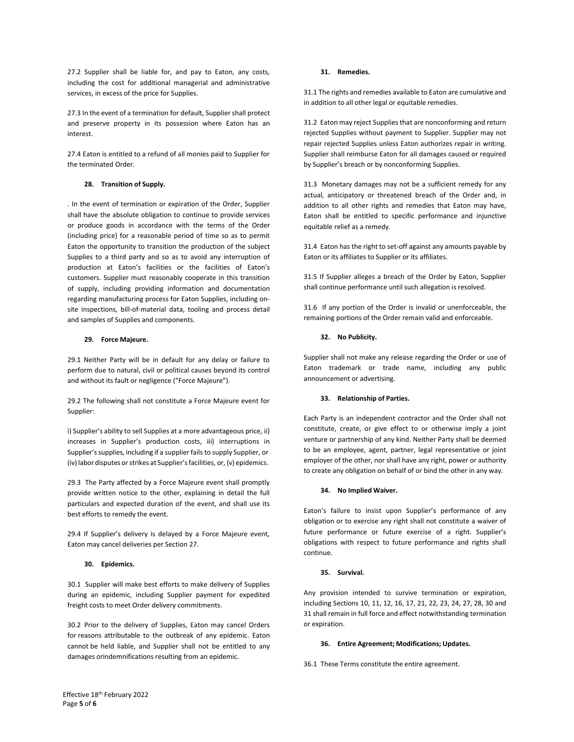27.2 Supplier shall be liable for, and pay to Eaton, any costs, including the cost for additional managerial and administrative services, in excess of the price for Supplies.

27.3 In the event of a termination for default, Supplier shall protect and preserve property in its possession where Eaton has an interest.

27.4 Eaton is entitled to a refund of all monies paid to Supplier for the terminated Order.

### **28. Transition of Supply.**

. In the event of termination or expiration of the Order, Supplier shall have the absolute obligation to continue to provide services or produce goods in accordance with the terms of the Order (including price) for a reasonable period of time so as to permit Eaton the opportunity to transition the production of the subject Supplies to a third party and so as to avoid any interruption of production at Eaton's facilities or the facilities of Eaton's customers. Supplier must reasonably cooperate in this transition of supply, including providing information and documentation regarding manufacturing process for Eaton Supplies, including onsite inspections, bill-of-material data, tooling and process detail and samples of Supplies and components.

### **29. Force Majeure.**

29.1 Neither Party will be in default for any delay or failure to perform due to natural, civil or political causes beyond its control and without its fault or negligence ("Force Majeure").

29.2 The following shall not constitute a Force Majeure event for Supplier:

i) Supplier's ability to sell Supplies at a more advantageous price, ii) increases in Supplier's production costs, iii) interruptions in Supplier's supplies, including if a supplier fails to supply Supplier, or (iv) labor disputes or strikes at Supplier's facilities, or, (v) epidemics.

29.3 The Party affected by a Force Majeure event shall promptly provide written notice to the other, explaining in detail the full particulars and expected duration of the event, and shall use its best efforts to remedy the event.

29.4 If Supplier's delivery is delayed by a Force Majeure event, Eaton may cancel deliveries per Section 27.

#### **30. Epidemics.**

30.1 Supplier will make best efforts to make delivery of Supplies during an epidemic, including Supplier payment for expedited freight costs to meet Order delivery commitments.

30.2 Prior to the delivery of Supplies, Eaton may cancel Orders for reasons attributable to the outbreak of any epidemic. Eaton cannot be held liable, and Supplier shall not be entitled to any damages orindemnifications resulting from an epidemic.

### **31. Remedies.**

31.1 The rights and remedies available to Eaton are cumulative and in addition to all other legal or equitable remedies.

31.2 Eaton may reject Supplies that are nonconforming and return rejected Supplies without payment to Supplier. Supplier may not repair rejected Supplies unless Eaton authorizes repair in writing. Supplier shall reimburse Eaton for all damages caused or required by Supplier's breach or by nonconforming Supplies.

31.3 Monetary damages may not be a sufficient remedy for any actual, anticipatory or threatened breach of the Order and, in addition to all other rights and remedies that Eaton may have, Eaton shall be entitled to specific performance and injunctive equitable relief as a remedy.

31.4 Eaton has the right to set-off against any amounts payable by Eaton or its affiliates to Supplier or its affiliates.

31.5 If Supplier alleges a breach of the Order by Eaton, Supplier shall continue performance until such allegation is resolved.

31.6 If any portion of the Order is invalid or unenforceable, the remaining portions of the Order remain valid and enforceable.

### **32. No Publicity.**

Supplier shall not make any release regarding the Order or use of Eaton trademark or trade name, including any public announcement or advertising.

#### **33. Relationship of Parties.**

Each Party is an independent contractor and the Order shall not constitute, create, or give effect to or otherwise imply a joint venture or partnership of any kind. Neither Party shall be deemed to be an employee, agent, partner, legal representative or joint employer of the other, nor shall have any right, power or authority to create any obligation on behalf of or bind the other in any way.

#### **34. No Implied Waiver.**

Eaton's failure to insist upon Supplier's performance of any obligation or to exercise any right shall not constitute a waiver of future performance or future exercise of a right. Supplier's obligations with respect to future performance and rights shall continue.

### **35. Survival.**

Any provision intended to survive termination or expiration, including Sections 10, 11, 12, 16, 17, 21, 22, 23, 24, 27, 28, 30 and 31 shall remain in full force and effect notwithstanding termination or expiration.

#### **36. Entire Agreement; Modifications; Updates.**

36.1 These Terms constitute the entire agreement.